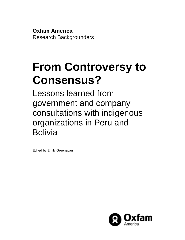**Oxfam America** Research Backgrounders

# **From Controversy to Consensus?**

Lessons learned from government and company consultations with indigenous organizations in Peru and Bolivia

<span id="page-0-0"></span>Edited by Emily Greenspan

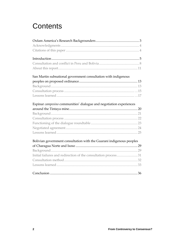## **Contents**

| San Martin subnational government consultation with indigenous       |  |
|----------------------------------------------------------------------|--|
|                                                                      |  |
|                                                                      |  |
|                                                                      |  |
|                                                                      |  |
| Espinar campesino communities' dialogue and negotiation experiences  |  |
|                                                                      |  |
|                                                                      |  |
|                                                                      |  |
|                                                                      |  |
|                                                                      |  |
|                                                                      |  |
|                                                                      |  |
|                                                                      |  |
| Bolivian government consultation with the Guaraní indigenous peoples |  |
|                                                                      |  |
|                                                                      |  |
| Initial failures and redirection of the consultation process31       |  |
|                                                                      |  |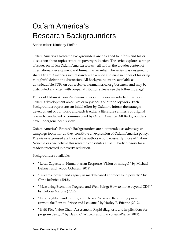## Oxfam America's Research Backgrounders

Series editor: Kimberly Pfeifer

Oxfam America's Research Backgrounders are designed to inform and foster discussion about topics critical to poverty reduction. The series explores a range of issues on which Oxfam America works—all within the broader context of international development and humanitarian relief. The series was designed to share Oxfam America's rich research with a wide audience in hopes of fostering thoughtful debate and discussion. All Backgrounders are available as downloadable PDFs on our website, [oxfamamerica.org/research,](http://www.oxfamamerica.org/research) and may be distributed and cited with proper attribution (please see the following page).

Topics of Oxfam America's Research Backgrounders are selected to support Oxfam's development objectives or key aspects of our policy work. Each Backgrounder represents an initial effort by Oxfam to inform the strategic development of our work, and each is either a literature synthesis or original research, conducted or commissioned by Oxfam America. All Backgrounders have undergone peer review.

Oxfam America's Research Backgrounders are not intended as advocacy or campaign tools; nor do they constitute an expression of Oxfam America policy. The views expressed are those of the authors—not necessarily those of Oxfam. Nonetheless, we believe this research constitutes a useful body of work for all readers interested in poverty reduction.

Backgrounders available:

- "Local Capacity in Humanitarian Response: Vision or mirage?" by Michael Delaney and Jacobo Ocharan (2012).
- "Systems, power, and agency in market-based approaches to poverty," by Chris Jochnick (2012).
- "Measuring Economic Progress and Well-Being: How to move beyond GDP," by Heloisa Marone (2012).
- "Land Rights, Land Tenure, and Urban Recovery: Rebuilding postearthquake Port-au-Prince and Léogâne," by Harley F. Etienne (2012).
- "Haiti Rice Value Chain Assessment: Rapid diagnosis and implications for program design," by David C. Wilcock and Franco Jean-Pierre (2012).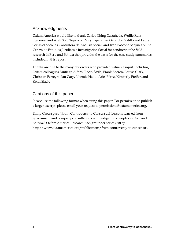## Acknowledgments

Oxfam America would like to thank Carlos Ching Castañeda, Wuille Ruiz Figueroa, and Areli Soto Tejeda of Paz y Esperanza*,* Gerardo Castillo and Laura Sorias of Societas Consultora de Análisis Social*,* and Iván Bascopé Sanjinés of the Centro de Estudios Jurídicos e Investigación Social for conducting the field research in Peru and Bolivia that provides the basis for the case study summaries included in this report.

Thanks are due to the many reviewers who provided valuable input, including Oxfam colleagues Santiago Alfaro, Rocio Ávila, Frank Boeren, Louise Clark, Christian Ferreyra, Ian Gary, Noemie Hailu, Ariel Pérez, Kimberly Pfeifer, and Keith Slack.

## Citations of this paper

Please use the following format when citing this paper. For permission to publish a larger excerpt, please email your request t[o permissions@oxfamamerica.org.](mailto:permissions@oxfamamerica.org)

Emily Greenspan, "From Controversy to Consensus? Lessons learned from government and company consultations with indigenous peoples in Peru and Bolivia," Oxfam America Research Backgrounder series (2012): http://www.oxfamamerica.org/publications/from-controversy-to-consensus.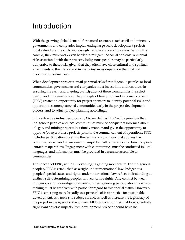## Introduction

With the growing global demand for natural resources such as oil and minerals, governments and companies implementing large-scale development projects must extend their reach to increasingly remote and sensitive areas. Within this context, they must work even harder to mitigate the social and environmental risks associated with their projects. Indigenous peoples may be particularly vulnerable to these risks given that they often have close cultural and spiritual attachments to their lands and in many instances depend on their natural resources for subsistence.

When development projects entail potential risks for indigenous peoples or local communities, governments and companies must invest time and resources in ensuring the early and ongoing participation of these communities in project design and implementation. The principle of free, prior, and informed consent (FPIC) creates an opportunity for project sponsors to identify potential risks and opportunities among affected communities early in the project development process, and to adjust project planning accordingly.

In its extractive industries program, Oxfam defines FPIC as the principle that indigenous peoples and local communities must be adequately informed about oil, gas, and mining projects in a timely manner and given the opportunity to approve (or reject) these projects prior to the commencement of operations. FPIC includes participation in setting the terms and conditions that address the economic, social, and environmental impacts of all phases of extraction and postextraction operations. Engagement with communities must be conducted in local languages, and information must be provided in a manner accessible to communities.

The concept of FPIC, while still evolving, is gaining momentum. For indigenous peoples, FPIC is established as a right under international law. Indigenous peoples' special status and rights under international law reflect their standing as distinct, self-determining peoples with collective rights. Any conflict between indigenous and non-indigenous communities regarding participation in decision making must be resolved with particular regard to this special status. However, FPIC is emerging more broadly as a principle of best practice for sustainable development, as a means to reduce conflict as well as increase the legitimacy of the project in the eyes of stakeholders. All local communities that face potentially significant adverse impacts from development projects should have the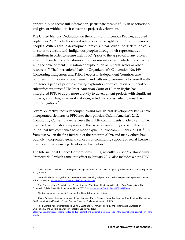opportunity to access full information, participate meaningfully in negotiations, and give or withhold their consent to project development.

The United Nations Declaration on the Rights of Indigenous Peoples, adopted September 2007, includes several references to the right to FPIC for indigenous peoples. With regard to development projects in particular, the declaration calls on states to consult with indigenous peoples through their representative institutions in order to secure their FPIC, "prior to the approval of any project affecting their lands or territories and other resources, particularly in connection with the development, utilization or exploitation of mineral, water or other resources."[1](#page-0-0) The International Labour Organization's Convention No. 169 Concerning Indigenous and Tribal Peoples in Independent Countries also requires FPIC in cases of resettlement, and calls on governments to consult with indigenous peoples prior to allowing exploration or exploitation of mineral or subsurface resources.<sup>[2](#page-5-0)</sup> The Inter-American Court of Human Rights has interpreted FPIC to apply more broadly to development projects with significant impacts, and it has, in several instances, ruled that states failed to meet their FPIC obligations.<sup>[3](#page-5-1)</sup>

Several extractive industry companies and multilateral development banks have incorporated elements of FPIC into their policies. Oxfam America's 2012 Community Consent Index reviews the public commitments made by a number of extractive industry companies on the issue of community consent. The report found that five companies have made explicit public commitments to  $FPIC<sup>4</sup>$  $FPIC<sup>4</sup>$  $FPIC<sup>4</sup>$  (up from just two in the first iteration of the report in 2009), and many others have publicly incorporated general concepts of community support or social license in their positions regarding development activities.<sup>[5](#page-5-3)</sup>

The International Finance Corporation's (IFC's) recently revised "Sustainability Framework,"[6](#page-5-4) which came into effect in January 2012, also includes a new FPIC

<sup>1</sup> United Nations Declaration on the Rights of Indigenous Peoples, resolution adopted by the General Assembly, September 2007, Article 32.

<span id="page-5-0"></span><sup>&</sup>lt;sup>2</sup> International Labour Organization Convention 169 Concerning Indigenous and Tribal Peoples in Independent Countries, Articles 15 and 16, [http://www.ilo.org/ilolex/cgi-lex/convde.pl?C169.](http://www.ilo.org/ilolex/cgi-lex/convde.pl?C169)

<span id="page-5-1"></span><sup>3</sup> Due Process of Law Foundation and Oxfam America, "The Right of Indigenous People to Prior Consultation: The Situation in Bolivia, Colombia, Ecuador, and Peru" (2011), 3, http://www.dplf.org/uploads/1302034794.pdf.

<span id="page-5-5"></span><span id="page-5-2"></span><sup>&</sup>lt;sup>4</sup> The five companies are Inmet, Newmont, Rio Tinto, Talisman, and Xstrata.

<span id="page-5-3"></span><sup>5</sup> Oxfam America, "Community Consent Index: Company Public Positions Regarding Free and Prior Informed Consent for Oil, Gas, and Mining Projects," Oxfam America Research Backgrounder series (2012).

<span id="page-5-4"></span>International Finance Corporation (IFC), "IFC Sustainability Framework: Policy and Performance Standards on Environmental and Social Sustainability" (effective January 1, 2012), [http://www1.ifc.org/wps/wcm/connect/Topics\\_Ext\\_Content/IFC\\_External\\_Corporate\\_site/IFC+Sustainability/Sustainability+Fram](http://www1.ifc.org/wps/wcm/connect/Topics_Ext_Content/IFC_External_Corporate_site/IFC+Sustainability/Sustainability+Framework) [ework.](http://www1.ifc.org/wps/wcm/connect/Topics_Ext_Content/IFC_External_Corporate_site/IFC+Sustainability/Sustainability+Framework)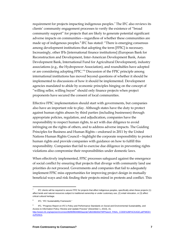requirement for projects impacting indigenous peoples.<sup>[7](#page-5-5)</sup> The IFC also reviews its clients' community engagement processes to verify the existence of "broad community support" for projects that are likely to generate potential significant adverse impacts on communities—regardless of whether these communities are made up of indigenous peoples.<sup>[8](#page-6-0)</sup> IFC has stated: "There is emerging consensus among development institutions that adopting the term [FPIC] is necessary. Increasingly, other IFIs [international finance institutions] (European Bank for Reconstruction and Development, Inter-American Development Bank, Asian Development Bank, International Fund for Agricultural Development), industry associations (e.g., the Hydropower Association), and roundtables have adopted or are considering adopting FPIC."[9](#page-6-1) Discussion of the FPIC principle among international institutions has moved beyond questions of whether it should be implemented to discussions of how it should be implemented. Development agencies mandated to abide by economic principles hinging on the concept of "willing seller, willing buyer" should only finance projects when project proponents have secured the consent of local communities.

Effective FPIC implementation should start with governments, but companies also have an important role to play. Although states have the duty to protect against human rights abuses by third parties (including businesses) through appropriate policies, regulation, and adjudication, companies have the responsibility to respect human rights, to act with due diligence to avoid infringing on the rights of others, and to address adverse impacts. The Guiding Principles for Business and Human Rights—endorsed in 2011 by the United Nations Human Rights Council—highlight the corporate responsibility to protect human rights and provide companies with guidance on how to fulfill this responsibility. Companies that fail to exercise due diligence in preventing rights violations also compromise their responsibilities under domestic laws.

When effectively implemented, FPIC processes safeguard against the emergence of social conflict by ensuring that projects that diverge with community land use priorities do not proceed. Governments and companies that fail to adequately implement FPIC miss opportunities for improving project design in mutually beneficial ways and risk finding their projects mired in protests and conflict. This

<sup>7</sup> IFC clients will be required to secure FPIC for projects that affect indigenous peoples, specifically when these projects (1) affect lands and natural resources subject to traditional ownership or under customary use, (2) entail relocation, or (3) affect critical cultural heritage.

<span id="page-6-0"></span><sup>&</sup>lt;sup>8</sup> IFC, "IFC Sustainability Framework."

<span id="page-6-2"></span><span id="page-6-1"></span><sup>9</sup> IFC, "Progress Report on IFC's Policy and Performance Standards on Social and Environmental Sustainability, and Access to Information Policy: Review and Update Process" (December 1, 2010), 15, [http://www1.ifc.org/wps/wcm/connect/8bf90f8049800aa2ab7afb336b93d75f/Phase3\\_FINAL\\_CODE%2BPACKAGE.pdf?MOD=](http://www1.ifc.org/wps/wcm/connect/8bf90f8049800aa2ab7afb336b93d75f/Phase3_FINAL_CODE%2BPACKAGE.pdf?MOD=AJPERES) [AJPERES.](http://www1.ifc.org/wps/wcm/connect/8bf90f8049800aa2ab7afb336b93d75f/Phase3_FINAL_CODE%2BPACKAGE.pdf?MOD=AJPERES)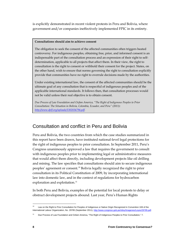is explicitly demonstrated in recent violent protests in Peru and Bolivia, where government and/or companies ineffectively implemented FPIC in its entirety.

#### **Consultations should aim to achieve consent**

The obligation to seek the consent of the affected communities often triggers heated controversy. For indigenous peoples, obtaining free, prior, and informed consent is an indispensable part of the consultation process and an expression of their right to selfdetermination, applicable to all projects that affect them. In their view, the right to consultation is the right to consent or withhold their consent for the project. States, on the other hand, wish to ensure that norms governing the right to consultation explicitly provide that communities have no right to overrule decisions made by the authorities.

Under existing international law, the consent of the affected communities should be the ultimate goal of any consultation that is respectful of indigenous peoples and of the applicable international standards. It follows then, that consultation processes would not be valid unless their real objective is to obtain consent.

*Due Process of Law Foundation and Oxfam America, "The Right of Indigenous Peoples to Prior Consultation: The Situation in Bolivia, Colombia, Ecuador, and Peru" (2011): [http://www.dplf.org/uploads/1302034794.pdf.](http://www.dplf.org/uploads/1302034794.pdf)* 

## Consultation and conflict in Peru and Bolivia

Peru and Bolivia, the two countries from which the case studies summarized in this report have been drawn, have instituted national-level legal protections for the right of indigenous peoples to prior consultation. In September 2011, Peru's Congress unanimously approved a law that requires the government to consult with indigenous peoples prior to implementing legal or administrative measures that would affect them directly, including development projects like oil drilling and mining. The law specifies that consultations should aim to secure indigenous peoples' agreement or consent.<sup>[10](#page-6-2)</sup> Bolivia legally recognized the right to prior consultation in its Political Constitution of 2009, by incorporating international law into domestic law, and in the context of regulations for hydrocarbon exploration and exploitation.<sup>[11](#page-7-0)</sup>

<span id="page-7-1"></span>In both Peru and Bolivia, examples of the potential for local protests to delay or obstruct development projects abound. Last year, Peru's Human Rights

Law on the Right to Prior Consultation for Peoples of Indigenous or Native Origin Recognized in Convention 169 of the International Labour Organization, No. 29785 (September 2011)[, http://www.congreso.gob.pe/ntley/Imagenes/Leyes/29785.pdf.](http://www.congreso.gob.pe/ntley/Imagenes/Leyes/29785.pdf)

<span id="page-7-0"></span>Due Process of Law Foundation and Oxfam America, "The Right of Indigenous Peoples to Prior Consultation," 7.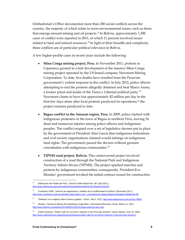Ombudsman's Office documented more than 200 social conflicts across the country, the majority of which relate to socio-environmental issues, such as those that emerge around mining and oil projects.<sup>[12](#page-7-1)</sup> In Bolivia, approximately 1,300 cases of conflict were reported in 2011, of which 11 percent involved issues related to land and natural resources.<sup>[13](#page-8-0)</sup> In light of their breadth and complexity, these conflicts are of particular political relevance in Bolivia.

A few higher-profile cases in recent years include the following:

- **Mina Conga mining project, Peru.** In November 2011, protests in Cajamarca ground to a halt development of the massive Mina Conga mining project operated by the US-based company Newmont Mining Corporation. To date, five deaths have resulted from the Peruvian government's violent response to the conflict. In July 2012, police officers attempting to end the protests allegedly detained and beat Marco Arana, a former priest and leader of the Tierra y Libertad political party.[14](#page-8-1) Newmont claims to have lost approximately \$2 million per day in the first few days alone after local protests paralyzed its operations;[15](#page-8-2) the project remains paralyzed to date.
- **Bagua conflict in the Amazon region, Peru.** In 2009, police clashed with indigenous protesters in the town of Bagua in northern Peru, leaving 34 dead and numerous injuries among police officers and indigenous peoples. The conflict erupted over a set of legislative decrees put in place by the government of President Alan Garcia that indigenous federations and civil society organizations claimed would infringe on indigenous land rights. The government passed the decrees without genuine consultation with indigenous communities.[16](#page-8-3)
- **TIPNIS road project, Bolivia.** This controversial project involved construction of a road through the National Park and Indigenous Territory Isiboro Sécure (TIPNIS). The project sparked marches and protests by indigenous communities; consequently, President Evo Morales' government revoked the initial contract issued for construction

<sup>12</sup> Defensoría del Pueblo del Perú, "Social Conflict Report No. 89" (July 2011), [http://www.defensoria.gob.pe/modules/Downloads/conflictos/2011/Reporte-89.pdf.](http://www.defensoria.gob.pe/modules/Downloads/conflictos/2011/Reporte-89.pdf) 

<span id="page-8-0"></span><sup>&</sup>lt;sup>13</sup> Fundación UNIR, "Informe de sequimiento y análisis de la conflictividad en Bolivia" (December 2011), http://www.unirbolivia.org/nueva3/index.php?option=com\_content&view=category&layout=blog&id=86&Itemid=60.

<span id="page-8-4"></span><span id="page-8-1"></span><sup>14</sup> "Detienen a ex religioso Marco Arana a golpes," *Voces*, July 5, 2012, [http://www.diariovoces.com.pe/?p=76651.](http://www.diariovoces.com.pe/?p=76651) 

<span id="page-8-2"></span><sup>15</sup> Reuters, "Newmont Mining Re-evaluating Conga Mine," *International Business Times,* March 14, 2012, [http://www.ibtimes.com/articles/314189/20120314/conga-newmont-peru.htm.](http://www.ibtimes.com/articles/314189/20120314/conga-newmont-peru.htm)

<span id="page-8-3"></span><sup>16</sup> Oxfam America, "Oxfam Calls for an End to Violence in the Peruvian Amazon," press release, June 15, 2009, [http://www.oxfamamerica.org/press/pressreleases/oxfam-calls-for-an-end-to-violence-in-the-peruvian-amazon/.](http://www.oxfamamerica.org/press/pressreleases/oxfam-calls-for-an-end-to-violence-in-the-peruvian-amazon/)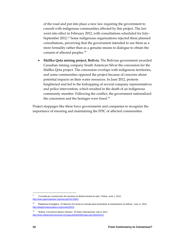of the road and put into place a new law requiring the government to consult with indigenous communities affected by this project. The law went into effect in February 2012, with consultations scheduled for July– September 2012.[17](#page-8-4) Some indigenous organizations rejected these planned consultations, perceiving that the government intended to use them as a mere formality rather than as a genuine means to dialogue to obtain the consent of affected peoples.<sup>[18](#page-9-0)</sup>

• **Mallku Qota mining project, Bolivia.** The Bolivian government awarded Canadian mining company South American Silver the concession for the Mallku Qota project. The concession overlaps with indigenous territories, and some communities opposed the project because of concerns about potential impacts on their water resources. In June 2012, protests heightened and led to the kidnapping of several company representatives and police intervention, which resulted in the death of an indigenous community member. Following the conflict, the government nationalized the concession and the hostages were freed.<sup>[19](#page-9-1)</sup>

Project stoppages like these force governments and companies to recognize the importance of ensuring and maintaining the FPIC of affected communities.

<span id="page-9-2"></span><sup>17</sup>"Consulta por construcción de carretera en Bolivia iniciará en julio," *Púlsar,* June 1, 2012, [http://www.agenciapulsar.org/nota.php?id=20567.](http://www.agenciapulsar.org/nota.php?id=20567) 

<span id="page-9-0"></span><sup>18</sup> Plataforma Energética, *"*IX Marcha: Evo burla la consulta para profundizar el extractivismo en Bolivia," July 11, 2012, [http://plataformaenergetica.org/content/3515.](http://plataformaenergetica.org/content/3515) 

<span id="page-9-1"></span><sup>19</sup>"Bolivia: Comuneros liberan rehenes," *El Diario Internacional*, July 9, 2012, [http://www.eldiariointernacional.com/spip.php/dist/IMG/spip.php?article3414.](http://www.eldiariointernacional.com/spip.php/dist/IMG/spip.php?article3414)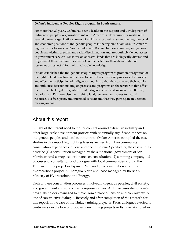#### **Oxfam's Indigenous Peoples Rights program in South America**

For more than 20 years, Oxfam has been a leader in the support and development of indigenous peoples' organizations in South America. Oxfam currently works with several partner organizations, many of which are focused on strengthening the social and economic positions of indigenous peoples in the region. Oxfam's South America regional work focuses on Peru, Ecuador, and Bolivia. In these countries, indigenous people are victims of social and racial discrimination and are routinely denied access to government services. Most live on ancestral lands that are biologically diverse and fragile—yet these communities are not compensated for their stewardship of resources or respected for their invaluable knowledge.

Oxfam established the Indigenous Peoples Rights program to promote recognition of the right to land, territory, and access to natural resources via processes of advocacy and effective participation of indigenous peoples so that they can voice their opinion and influence decision making on projects and programs on the territories that affect their lives. The long-term goals are that indigenous men and women from Bolivia, Ecuador, and Peru exercise their right to land, territory, and access to natural resources via free, prior, and informed consent and that they participate in decisionmaking arenas.

## About this report

In light of the urgent need to reduce conflict around extractive industry and other large-scale development projects with potentially significant impacts on indigenous peoples and local communities, Oxfam America compiled the case studies in this report highlighting lessons learned from two community consultation experiences in Peru and one in Bolivia. Specifically, the case studies describe (1) a consultation managed by the subnational government of San Martin around a proposed ordinance on consultation, (2) a mining company-led processes of consultation and dialogue with local communities around the Tintaya mining project in Espinar, Peru, and (3) a consultation around a hydrocarbons project in Charagua Norte and Isoso managed by Bolivia's Ministry of Hydrocarbons and Energy.

Each of these consultation processes involved indigenous peoples, civil society, and government and/or company representatives. All three cases demonstrate how stakeholders managed to move from a place of tension and controversy to one of constructive dialogue. Recently and after completion of the research for this report, in the case of the Tintaya mining project in Peru, dialogue reverted to controversy in the face of proposed new mining projects in Espinar. As noted in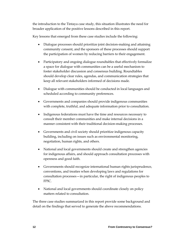the introduction to the Tintaya case study, this situation illustrates the need for broader application of the positive lessons described in this report.

Key lessons that emerged from these case studies include the following:

- Dialogue processes should prioritize joint decision-making and attaining community consent, and the sponsors of these processes should support the participation of women by reducing barriers to their engagement.
- Participatory and ongoing dialogue roundtables that effectively formalize a space for dialogue with communities can be a useful mechanism to foster stakeholder discussion and consensus building. Roundtables should develop clear rules, agendas, and communication strategies that keep all relevant stakeholders informed of decisions made.
- Dialogue with communities should be conducted in local languages and scheduled according to community preferences.
- Governments and companies should provide indigenous communities with complete, truthful, and adequate information prior to consultation.
- Indigenous federations must have the time and resources necessary to consult their member communities and make internal decisions in a manner consistent with their traditional decision-making processes.
- Governments and civil society should prioritize indigenous capacity building, including on issues such as environmental monitoring, negotiation, human rights, and others.
- National and local governments should create and strengthen agencies for indigenous affairs, and should approach consultation processes with openness and good faith.
- Governments should recognize international human rights jurisprudence, conventions, and treaties when developing laws and regulations for consultation processes—in particular, the right of indigenous peoples to FPIC.
- National and local governments should coordinate closely on policy matters related to consultation.

The three case studies summarized in this report provide some background and detail on the findings that served to generate the above recommendations.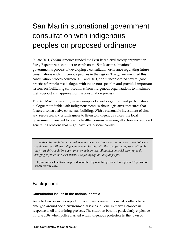## San Martin subnational government consultation with indigenous peoples on proposed ordinance

In late 2011, Oxfam America funded the Peru-based civil society organization Paz y Esperanza to conduct research on the San Martin subnational government's process of developing a consultation ordinance regulating future consultations with indigenous peoples in the region. The government led this consultation process between 2010 and 2011, and it incorporated several good practices for inclusive dialogue with indigenous peoples and provided important lessons on facilitating contributions from indigenous organizations to maximize their support and approval for the consultation process.

The San Martin case study is an example of a well-organized and participatory dialogue roundtable with indigenous peoples about legislative measures that fostered constructive consensus-building. With a reasonable investment of time and resources, and a willingness to listen to indigenous voices, the local government managed to reach a healthy consensus among all actors and avoided generating tensions that might have led to social conflict.

*... the Awajún people had never before been consulted. From now on, top government officials should consult with the indigenous peoples' boards, with their recognized representatives. In the future this should be a good practice, to have prior discussion on legislative proposals bringing together the views, vision, and feelings of the Awajún people.* 

—Ephraim Ensakua Kinstun, president of the Regional Indigenous Development Organization of San Martin, 2012

## **Background**

#### **Consultation issues in the national context**

As noted earlier in this report, in recent years numerous social conflicts have emerged around socio-environmental issues in Peru, in many instances in response to oil and mining projects. The situation became particularly explosive in June 2009 when police clashed with indigenous protesters in the town of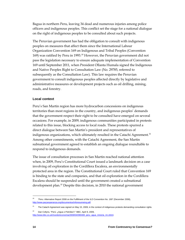Bagua in northern Peru, leaving 34 dead and numerous injuries among police officers and indigenous peoples. This conflict set the stage for a national dialogue on the right of indigenous peoples to be consulted about such projects.

The Peruvian government has had the obligation to consult with indigenous peoples on measures that affect them since the International Labour Organization Convention 169 on Indigenous and Tribal Peoples (Convention 169) was ratified by Peru in 1993.<sup>[20](#page-9-2)</sup> However, the Peruvian government did not pass the legislation necessary to ensure adequate implementation of Convention 169 until September 2011, when President Ollanta Humala signed the Indigenous and Native Peoples Right to Consultation Law (No. 29785, referred to subsequently as the Consultation Law). This law requires the Peruvian government to consult indigenous peoples affected directly by legislative and administrative measures or development projects such as oil drilling, mining, roads, and forestry.

#### **Local context**

Peru's San Martin region has more hydrocarbon concessions on indigenous territories than most regions in the country, and indigenous peoples' demands that the government respect their right to be consulted have emerged on several occasions. For example, in 2009, indigenous communities participated in protests related to this issue, blocking access to local roads. These protests spurred a direct dialogue between San Martin's president and representatives of indigenous organizations, which ultimately resulted in the Catachi Agreement.<sup>[21](#page-13-0)</sup> Among other commitments, with the Catachi Agreement, the San Martin subnational government agreed to establish an ongoing dialogue roundtable to respond to indigenous demands.

The issue of consultation processes in San Martin reached national attention when, in 2009, Peru's Constitutional Court issued a landmark decision on a case involving oil exploration in the Cordillera Escalera, an environmentally protected area in the region. The Constitutional Court ruled that Convention 169 is binding to the state and companies, and that oil exploration in the Cordillera Escalera should be suspended until the government created a subnational development plan.<sup>[22](#page-13-1)</sup> Despite this decision, in 2010 the national government

<span id="page-13-2"></span><sup>20 &</sup>quot;Peru: Alternative Report 2008 on the Fulfillment of the ILO Convention No. 169" (December 2008), [http://www.pazyesperanza.org/documentos/inforesumeing.pdf.](http://www.pazyesperanza.org/documentos/inforesumeing.pdf) 

<span id="page-13-0"></span><sup>&</sup>lt;sup>21</sup> The Catachi Agreement was signed on May 15, 2009, in the context of indigenous protests demanding consultation rights.

<span id="page-13-1"></span><sup>22</sup> Dan Collyns, "Perú: ¿Agua o Petróleo?," BBC, April 9, 2009, http://www.bbc.co.uk/mundo/economia/2009/04/090408\_peru\_agua\_mineria\_mr.shtml.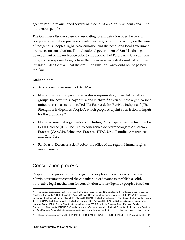agency Perupetro auctioned several oil blocks in San Martin without consulting indigenous peoples.

The Cordillera Escalera case and escalating local frustration over the lack of adequate consultation processes created fertile ground for advocacy on the issue of indigenous peoples' right to consultation and the need for a local government ordinance on consultation. The subnational government of San Martin began development of the ordinance prior to the approval of Peru's new Consultation Law, and in response to signs from the previous administration—that of former President Alan Garcia—that the draft Consultation Law would not be passed into law.

#### **Stakeholders**

- Subnational government of San Martin
- Numerous local indigenous federations representing three distinct ethnic groups: the Awajún, Chayahuita, and Kichwa. [23](#page-13-2) Seven of these organizations united to form a coalition called "La Fuerza de los Pueblos Indígenas" (The Strength of Indigenous Peoples), which prepared a joint submission of inputs for the ordinance. $24$
- Nongovernmental organizations, including Paz y Esperanza, the Institute for Legal Defense (IDL), the Centro Amazónico de Antropología y Aplicación Práctica (CAAAP), Soluciones Prácticas ITDG, Urku Estudios Amazónicos, and Care-Perú.
- San Martin Defensoría del Pueblo (the office of the regional human rights ombudsman)

## Consultation process

 $\overline{a}$ 

Responding to pressure from indigenous peoples and civil society, the San Martin government created the consultation ordinance to establish a solid, innovative legal mechanism for consultation with indigenous peoples based on

<span id="page-14-1"></span><sup>23</sup> Indigenous organizations actively involved in the consultation included the development coordinator of the Indigenous Peoples of San Martin (CODEPISAM); the Awajún Regional Indigenous Federation of Alto Mayo (FERIAAM); the Regional Indigenous Development Organization of San Martin (ORDISAM); the Kichwa Indigenous Federation of the San Martin Region (FEPIKRESAM); the Ethnic Council of the Kichwa Peoples of the Amazon (CEPKA); the Kichwa Indigenous Federation of Huallaga-Dorado (FEKIHD); the Shawi Indigenous Federation (FERISHAM); the Regional Central Unica of Rondas Campesinas of San Martin (CURRC-SM); and a new women's federation called Regional Federation for Indigenous, Rondera, and Rural Women. Other ally indigenous organizations also lent their support for the process, but had less direct involvement.

<span id="page-14-0"></span>The seven organizations are CODEPISAM, FEPIKRESAM, CEPKA, FEKIHD, ORDISAM, FERISHAM, and CURRC-SM.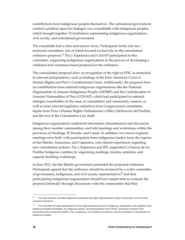contributions from indigenous peoples themselves. The subnational government created a political space for dialogue via a roundtable with indigenous peoples, which brought together 33 institutions representing indigenous organizations, civil society, and subnational government.

The roundtable had a clear and narrow focus. Participants broke into two technical committees, one of which focused exclusively on the consultation ordinance proposal.<sup>[25](#page-14-1)</sup> Paz y Esperanza and CAAAP participated in this committee, supporting indigenous organizations in the process of developing a validated and consensus-based proposal for the ordinance.

The consolidated proposal drew on recognition of the right to FPIC as enshrined in relevant jurisprudence, such as findings of the Inter-American Court of Human Rights and Peru's Constitutional Court. Additionally, the proposal drew on contributions from national indigenous organizations like the National Organization of Amazon Indigenous People (AIDSEP) and the Confederation of Amazon Nationalities of Peru (CONAP), which had participated in national dialogue roundtables on the issue of consultation and community consent, as well as from relevant legislative initiatives from Congressional committees, inputs from Peru's Human Rights Ombudsman's Office (Defensoría del Pueblo), and the text of the Consultation Law itself.

Indigenous organizations undertook information dissemination and discussion among their member communities, and held meetings and workshops within the provinces of Huallaga, El Dorado, and Lamas. In addition, two macro-regional meetings were held, with participation from indigenous leaders from the regions of San Martin, Amazonas, and Cajamarca, who shared experiences regarding new consultation policies. Paz y Esperanza and IDL supported La Fuerza de los Pueblos Indígenas coalition by organizing meetings, forums, seminars, and capacity-building workshops.

In June 2011, the San Martin government presented the proposed ordinance. Participants agreed that the ordinance should be reviewed by a wider committee of government, indigenous, and civil society representatives<sup>[26](#page-15-0)</sup> and that participating indigenous organizations should have ample time to evaluate the proposal internally through discussions with the communities that they

 $25$  The other technical committee addressed a particular land rights dispute between Shawi communities and the Korean company Ecoamerica.

<span id="page-15-1"></span><span id="page-15-0"></span><sup>&</sup>lt;sup>26</sup> This committee included representatives of the regional government and of indigenous organizations, the president of the Indigenous Peoples Roundtable, the indigenous adviser, and representatives from CAAAP, Soluciones Prácticas ITDG, Amazónicos para la Amazonia (AMPA), Paz y Esperanza, Urku Estudios Amazónicos, and the Committee on Development of Indigenous Peoples.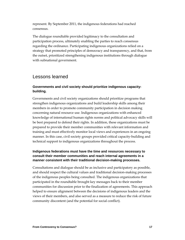represent. By September 2011, the indigenous federations had reached consensus.

The dialogue roundtable provided legitimacy to the consultation and participation process, ultimately enabling the parties to reach consensus regarding the ordinance. Participating indigenous organizations relied on a strategy that promoted principles of democracy and transparency, and that, from the outset, prioritized strengthening indigenous institutions through dialogue with subnational government.

## Lessons learned

## **Governments and civil society should prioritize indigenous capacitybuilding.**

Governments and civil society organizations should prioritize programs that strengthen indigenous organizations and build leadership skills among their members in order to promote community participation in decision making concerning natural resource use. Indigenous organizations with enhanced knowledge of international human rights norms and political advocacy skills will be best prepared to defend their rights. In addition, these organizations must be prepared to provide their member communities with relevant information and training and must effectively monitor local views and experiences in an ongoing manner. In this case, civil society groups provided critical capacity-building and technical support to indigenous organizations throughout the process.

## **Indigenous federations must have the time and resources necessary to consult their member communities and reach internal agreements in a manner consistent with their traditional decision-making processes.**

Consultations and dialogue should be as inclusive and participatory as possible, and should respect the cultural values and traditional decision-making processes of the indigenous peoples being consulted. The indigenous organizations that participated in the roundtable brought key messages back to their member communities for discussion prior to the finalization of agreements. This approach helped to ensure alignment between the decisions of indigenous leaders and the views of their members, and also served as a measure to reduce the risk of future community discontent (and the potential for social conflict).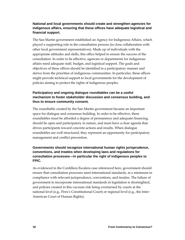## **National and local governments should create and strengthen agencies for indigenous affairs, ensuring that these offices have adequate logistical and financial support.**

The San Martin government established an Agency for Indigenous Affairs, which played a supporting role in the consultation process (in close collaboration with other local government representatives). Made up of individuals with the appropriate attitudes and skills, this office helped to ensure the success of the consultation. In order to be effective, agencies or departments for indigenous affairs need adequate staff, budget, and logistical support. The goals and objectives of these offices should be identified in a participatory manner and derive from the priorities of indigenous communities. In particular, these offices might provide technical support to local governments for the development of policies aiming to protect the rights of indigenous peoples.

## **Participatory and ongoing dialogue roundtables can be a useful mechanism to foster stakeholder discussion and consensus building, and thus to ensure community consent.**

The roundtable created by the San Martin government became an important space for dialogue and consensus building. In order to be effective, these roundtables must be afforded a degree of permanence and adequate financing, should be open and participatory in nature, and must have a clear agenda that drives participants toward concrete actions and results. When dialogue roundtables are well structured, they represent an opportunity for participatory management and conflict prevention.

## **Governments should recognize international human rights jurisprudence, conventions, and treaties when developing laws and regulations for consultation processes—in particular the right of indigenous peoples to FPIC.**

As evidenced in the Cordillera Escalera case referenced here, government should ensure that consultation processes meet international standards, at a minimum in compliance with relevant jurisprudence, conventions, and treaties. The failure of government to incorporate international standards in legislation is shortsighted, and policies created in this vacuum risk being overturned by courts at the national level (e.g., Peru's Constitutional Court) or regional level (e.g., the Inter-American Court of Human Rights).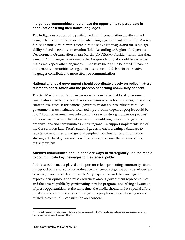### **Indigenous communities should have the opportunity to participate in consultations using their native languages.**

The indigenous leaders who participated in this consultation greatly valued being able to communicate in their native languages. Officials within the Agency for Indigenous Affairs were fluent in these native languages, and this language ability helped keep the conversation fluid. According to Regional Indigenous Development Organization of San Martin (ORDISAM) President Efrain Ensakua Kinstun: "Our language represents the Awajún identity; it should be respected just as we respect other languages. … We have the right to be heard." Enabling indigenous communities to engage in discussion and debate in their native languages contributed to more effective communication.

### **National and local government should coordinate closely on policy matters related to consultation and the process of seeking community consent.**

The San Martin consultation experience demonstrates that local government consultations can help to build consensus among stakeholders on significant and contentious issues. If the national government does not coordinate with local government, much valuable, localized input from indigenous peoples could be lost.<sup>[27](#page-15-1)</sup> Local governments – particularly those with strong indigenous peoples' offices—may have established systems for identifying relevant indigenous organizations and communities in their regions. To support implementation of the Consultation Law, Peru's national government is creating a database to register communities of indigenous peoples. Coordination and information sharing with local governments will be critical to ensure the success of this registry system.

## **Affected communities should consider ways to strategically use the media to communicate key messages to the general public.**

In this case, the media played an important role in promoting community efforts in support of the consultation ordinance. Indigenous organizations developed an advocacy plan in coordination with Paz y Esperanza, and they managed to express their opinions and raise awareness among government representatives and the general public by participating in radio programs and taking advantage of press opportunities. At the same time, the media should make a special effort to take into account the voices of indigenous peoples when addressing issues related to community consultation and consent.

<span id="page-18-0"></span>In fact, most of the indigenous federations that participated in the San Martin consultation are not represented by an indigenous federation at the national level.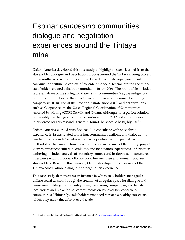## Espinar *campesino* communities' dialogue and negotiation experiences around the Tintaya mine

Oxfam America developed this case study to highlight lessons learned from the stakeholder dialogue and negotiation process around the Tintaya mining project in the southern province of Espinar, in Peru. To facilitate engagement and coordination within the context of considerable social tension around the mine, stakeholders created a dialogue roundtable in late 2001. The roundtable included representatives of the six highland *campesino* communities (i.e., the indigenous farming communities) in the direct area of influence of the mine; the mining company (BHP Billiton at the time and Xstrata since 2006); and organizations such as CooperAcción, the Cusco Regional Coordination of Communities Affected by Mining (CORECAMI), and Oxfam. Although not a perfect solution, remarkably the dialogue roundtable continued until 2012 and stakeholders interviewed for this research generally found the space to be highly useful.

Oxfam America worked with Societas $28 - a$  $28 - a$  consultant with specialized experience in issues related to mining, community relations, and dialogue—to conduct this research. Societas employed a predominantly qualitative methodology to examine how men and women in the area of the mining project view their past consultation, dialogue, and negotiation experiences. Information gathering included analysis of secondary sources and in-depth, semi-structured interviews with municipal officials, local leaders (men and women), and key stakeholders. Based on this research, Oxfam developed this overview of the Tintaya consultation, dialogue, and negotiation experience.

This case study demonstrates an instance in which stakeholders managed to diffuse social tension through the creation of a regular space for dialogue and consensus building. In the Tintaya case, the mining company agreed to listen to local voices and make formal commitments on issues of key concern to communities. Ultimately, stakeholders managed to reach a healthy consensus, which they maintained for over a decade.

<span id="page-19-0"></span><sup>&</sup>lt;sup>28</sup> See the Societas Consultora de Análisis Social web site: http://www.societasconsultora.com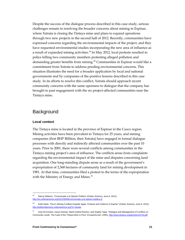Despite the success of the dialogue process described in this case study, serious challenges remain to resolving the broader concerns about mining in Espinar, where Xstrata is closing the Tintaya mine and plans to expand operations through two new projects in the second half of 2012. Recently, communities have expressed concerns regarding the environmental impacts of the project, and they have requested environmental studies incorporating the new area of influence as a result of expanded mining activities.<sup>[29](#page-19-0)</sup> In May 2012, local protests resulted in police killing two community members protesting alleged pollution and demanding greater benefits from mining.<sup>[30](#page-20-0)</sup> Communities in Espinar would like a commitment from Xstrata to address pending environmental concerns. This situation illustrates the need for a broader application by local and national governments and by companies of the positive lessons described in this case study. In its efforts to resolve this conflict, Xstrata should approach recent community concerns with the same openness to dialogue that the company has brought to past engagement with the six project-affected communities near the Tintaya mine.

## **Background**

#### **Local context**

 $\overline{a}$ 

The Tintaya mine is located in the province of Espinar in the Cusco region. Mining activities have been prevalent in Tintaya for 25 years, and mining companies (first BHP Billiton, then Xstrata) have engaged in formal dialogue processes with directly and indirectly affected communities over the past 10 years. Prior to 2001, there were several conflicts among communities in the Tintaya mining project's area of influence. The conflicts arose from complaints regarding the environmental impact of the mine and disputes concerning land acquisition. One long-standing dispute arose as a result of the government's expropriation of 2,368 hectares of community land for mining development in 1981. At that time, communities filed a protest to the terms of the expropriation with the Ministry of Energy and Mines.<sup>[31](#page-20-1)</sup>

 $29$  Danny Gibbons, "Comunicado a la Opinión Pública" (Oxfam America, June 6, 2012), [http://es.oxfamamerica.org/2012/06/06/comunicado-a-la-opinion-publica-2/.](http://es.oxfamamerica.org/2012/06/06/comunicado-a-la-opinion-publica-2/)

<span id="page-20-0"></span><sup>&</sup>lt;sup>30</sup> Keith Slack, "Peru's Mining Conflicts Explode Again: Protests and Violence in Espinar" (Oxfam America, June 6, 2012), [http://politicsofpoverty.oxfamamerica.org/?s=xstrata.](http://politicsofpoverty.oxfamamerica.org/?s=xstrata)

<span id="page-20-1"></span><sup>31</sup> José De Echave, Karyn Keenan, María Kathia Romero, and Angela Tapia, "Dialogue and Management of Conflicts on Community Lands: The Case of the Tintaya Mine in Peru" (CooperAcción, 2005), http://www.ibcperu.org/doc/isis/10734.pdf.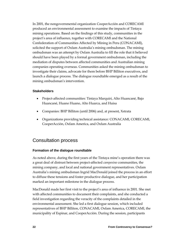In 2001, the nongovernmental organization CooperAcción and CORECAMI produced an environmental assessment to examine the impacts of Tintaya mining operations. Based on the findings of this study, communities in the project's area of influence, together with CORECAMI and the National Confederation of Communities Affected by Mining in Peru (CONACAMI), solicited the support of Oxfam Australia's mining ombudsman. The mining ombudsman was an attempt by Oxfam Australia to fill the role that it believed should have been played by a formal government ombudsman, including the mediation of disputes between affected communities and Australian mining companies operating overseas. Communities asked the mining ombudsman to investigate their claims, advocate for them before BHP Billiton executives, and launch a dialogue process. The dialogue roundtable emerged as a result of the mining ombudsman's intervention.

#### **Stakeholders**

- Project-affected communities: Tintaya Marquiri, Alto Huancané, Bajo Huancané, Huano Huano, Alto Huarca, and Huisa
- Companies: BHP Billiton (until 2006) and, at present, Xstrata
- Organizations providing technical assistance: CONACAMI, CORECAMI, CooperAcción, Oxfam America, and Oxfam Australia

## Consultation process

#### **Formation of the dialogue roundtable**

As noted above, during the first years of the Tintaya mine's operation there was a great deal of distrust between project-affected *campesino* communities, the mining company, and local and national government representatives. Oxfam Australia's mining ombudsman Ingrid MacDonald joined the process in an effort to diffuse these tensions and foster productive dialogue, and her participation marked an important milestone in the dialogue process.

MacDonald made her first visit to the project's area of influence in 2001. She met with affected communities to document their complaints, and she conducted a field investigation regarding the veracity of the complaints detailed in the environmental assessment. She led a first dialogue session, which included representatives of BHP Billiton, CONACAMI, Oxfam America, CORECAMI, the municipality of Espinar, and CooperAcción. During the session, participants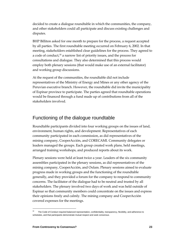decided to create a dialogue roundtable in which the communities, the company, and other stakeholders could all participate and discuss existing challenges and disputes.

BHP Billiton asked for one month to prepare for the process, a request accepted by all parties. The first roundtable meeting occurred on February 6, 2002. In that meeting, stakeholders established clear guidelines for the process. They agreed to a code of conduct,<sup>[32](#page-20-1)</sup> a narrow list of priority issues, and the process for consultations and dialogue. They also determined that this process would employ both plenary sessions (that would make use of an external facilitator) and working group discussions.

At the request of the communities, the roundtable did not include representatives of the Ministry of Energy and Mines or any other agency of the Peruvian executive branch. However, the roundtable did invite the municipality of Espinar province to participate. The parties agreed that roundtable operations would be financed through a fund made up of contributions from all of the stakeholders involved.

## Functioning of the dialogue roundtable

Roundtable participants divided into four working groups on the issues of land, environment, human rights, and development. Representatives of each community participated in each commission, as did representatives of the mining company, CooperAcción, and CORECAMI. Community delegates or leaders managed the groups. Each group created work plans, held meetings, arranged training workshops, and produced reports about its work.

Plenary sessions were held at least twice a year. Leaders of the six community assemblies participated in the plenary sessions, as did representatives of the mining company, CooperAcción, and Oxfam. Plenary sessions aimed to evaluate progress made in working groups and the functioning of the roundtable generally, and they provided a forum for the company to respond to community concerns. The facilitator of the dialogue had to be neutral and trusted by all stakeholders. The plenary involved two days of work and was held outside of Espinar so that community members could concentrate on the issues and express their opinions freely and calmly. The mining company and CooperAcción covered expenses for the meetings.

<span id="page-22-0"></span>The Code of Conduct required balanced representation, confidentiality, transparency, flexibility, and adherence to schedules, and that participants demonstrate mutual respect and seek consensus.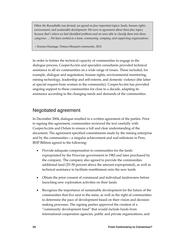*When the Roundtable was formed, we agreed on four important topics: lands, human rights, environment, and sustainable development. We were in agreement about these four topics because that's where we had identified problems and we were able to classify them into those categories. ... We have worked as a team: community, company, and supporting organizations.*

—Erasmo Huanqqe, Tintaya Marquiri community, 2012

In order to bolster the technical capacity of communities to engage in the dialogue process, CooperAcción and specialist consultants provided technical assistance to all six communities on a wide range of issues. These included, for example, dialogue and negotiation, human rights, environmental monitoring, mining technology, leadership and self-esteem, and domestic violence (the latter at special request from women in the community). CooperAcción has provided ongoing support to these communities for close to a decade, adapting its assistance according to the changing needs and demands of the communities.

## Negotiated agreement

In December 2004, dialogue resulted in a written agreement of the parties. Prior to signing this agreement, communities reviewed the text carefully with CooperAcción and Oxfam to ensure a full and clear understanding of the document. The agreement specified commitments made by the mining enterprise and by the communities—a singular achievement and real milestone in Peru. BHP Billiton agreed to the following:

- Provide adequate compensation to communities for the lands expropriated by the Peruvian government in 1982 and later purchased by the company. The company also agreed to provide the communities additional land (25–50 percent above the amount expropriated), as well as technical assistance to facilitate resettlement onto the new lands.
- Obtain the prior consent of communal and individual landowners before launching new exploration activities on their lands.
- Recognize the importance of sustainable development for the future of the communities that live next to the mine, as well as the right of communities to determine the pace of development based on their vision and decisionmaking processes. The signing parties approved the creation of a "community development fund" that would include funds from international cooperation agencies, public and private organizations, and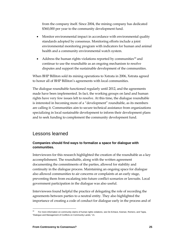from the company itself. Since 2004, the mining company has dedicated \$360,000 per year to the community development fund.

- Monitor environmental impact in accordance with environmental quality standards adopted by consensus. Monitoring efforts include a joint environmental monitoring program with indicators for human and animal health and a community environmental watch system.
- Address the human rights violations reported by communities<sup>[33](#page-22-0)</sup> and continue to use the roundtable as an ongoing mechanism to resolve disputes and support the sustainable development of the communities.

When BHP Billiton sold its mining operations to Xstrata in 2006, Xstrata agreed to honor all of BHP Billiton's agreements with local communities.

The dialogue roundtable functioned regularly until 2012, and the agreements made have been implemented. In fact, the working groups on land and human rights have very few issues left to resolve. At this time, the dialogue roundtable is interested in becoming more of a "development" roundtable, as its members are calling it. Communities aim to secure technical assistance from organizations specializing in local sustainable development to inform their development plans and to seek funding to complement the community development fund.

## Lessons learned

## **Companies should find ways to formalize a space for dialogue with communities.**

Interviewees for this research highlighted the creation of the roundtable as a key accomplishment. The roundtable, along with the written agreement documenting the commitments of the parties, allowed for stability and continuity in the dialogue process. Maintaining an ongoing space for dialogue also allowed communities to air concerns or complaints at an early stage, preventing them from escalating into future conflict scenarios or lawsuits. Local government participation in the dialogue was also useful.

Interviewees found helpful the practice of delegating the role of recording the agreements between parties to a neutral entity. They also highlighted the importance of creating a code of conduct for dialogue early in the process and of

<span id="page-24-0"></span><sup>33</sup> For more information on community claims of human rights violations, see De Echave, Keenan, Romero, and Tapia, "Dialogue and Management of Conflicts on Community Lands," 21.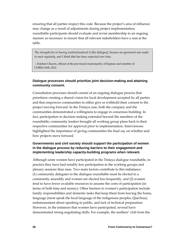ensuring that all parties respect this code. Because the project's area of influence may change as a result of adjustments during project implementation, roundtable participants should evaluate and revise membership in an ongoing manner as necessary to ensure that all relevant stakeholders have a seat at the table.

*The strength lies in having institutionalized it [the dialogue], because an agreement was made to meet regularly, and I think that has been respected over time.* 

—Esteban Chacón, official of the provincial municipality of Espinar and member of CORECAMI, 2012

## **Dialogue processes should prioritize joint decision-making and attaining community consent.**

Consultation processes should consist of an ongoing dialogue process that prioritizes creating a shared vision for local development accepted by all parties and that empowers communities to either give or withhold their consent to the project moving forward. In the Tintaya case, both the company and the communities demonstrated a willingness to engage in consensus building. In fact, participation in decision making extended beyond the members of the roundtable; community leaders brought all working group plans back to their respective communities for approval prior to implementation. Interviewees highlighted the importance of giving communities the final say on whether and how projects move forward.

## **Governments and civil society should support the participation of women in the dialogue process by reducing barriers to their engagement and implementing leadership capacity-building programs when relevant.**

Although some women have participated in the Tintaya dialogue roundtable, in practice they have had notably less participation in the working groups and plenary sessions than men. Two main factors contribute to this imbalance: (1) community delegates to the dialogue roundtable must be elected in a community assembly and women are elected less frequently, and (2) women tend to have fewer available resources to assume the costs of participation (in terms of both time and money). Other barriers to women's participation include family responsibilities and domestic tasks that keep them from leaving the home, language (most speak the local language of the indigenous peoples, Quechua), embarrassment about speaking in public, and lack of technical preparation. However, in the instances that women have participated, several have demonstrated strong negotiating skills. For example, the mothers' club from the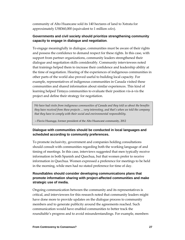community of Alto Huancane sold its 140 hectares of land to Xstrata for approximately US\$360,000 (equivalent to 1 million *soles*).

#### **Governments and civil society should prioritize strengthening community capacity to engage in dialogue and negotiation**.

To engage meaningfully in dialogue, communities must be aware of their rights and possess the confidence to demand respect for these rights. In this case, with support from partner organizations, community leaders strengthened their dialogue and negotiation skills considerably. Community interviewees noted that trainings helped them to increase their confidence and leadership ability at the time of negotiation. Hearing of the experiences of indigenous communities in other parts of the world also proved useful to building local capacity. For example, representatives of indigenous communities in Canada visited these communities and shared information about similar experiences. This kind of learning helped Tintaya communities to evaluate their position vis-à-vis the project and define their strategy for negotiation.

*We have had visits from indigenous communities of Canada and they told us about the benefits they have received from these projects ... very interesting, and that's when we told the company that they have to comply with their social and environmental responsibility.* 

—Flavio Huanqqe, former president of the Alto Huancané community, 2012

## **Dialogue with communities should be conducted in local languages and scheduled according to community preferences.**

To promote inclusivity, government and companies holding consultations should consult with communities regarding both the working language of and timing of meetings. In this case, interviews suggested that men typically receive information in both Spanish and Quechua, but that women prefer to receive information in Quechua. Women expressed a preference for meetings to be held in the morning, while men had no stated preference for time of day.

## **Roundtables should consider developing communications plans that promote information sharing with project-affected communities and make strategic use of media.**

Ongoing communication between the community and its representatives is critical, and interviewees for this research noted that community leaders might have done more to provide updates on the dialogue process to community members and to generate publicity around the agreements reached. Such communication would have enabled communities to better track the roundtable's progress and to avoid misunderstandings. For example, members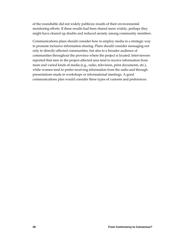of the roundtable did not widely publicize results of their environmental monitoring efforts. If these results had been shared more widely, perhaps they might have cleared up doubts and reduced anxiety among community members.

Communications plans should consider how to employ media in a strategic way to promote inclusive information sharing. Plans should consider messaging not only to directly-affected communities, but also to a broader audience of communities throughout the province where the project is located. Interviewees reported that men in the project-affected area tend to receive information from more and varied kinds of media (e.g., radio, television, print documents, etc.), while women tend to prefer receiving information from the radio and through presentations made in workshops or informational meetings. A good communications plan would consider these types of customs and preferences.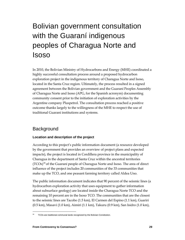## Bolivian government consultation with the Guaraní indigenous peoples of Charagua Norte and Isoso

In 2010, the Bolivian Ministry of Hydrocarbons and Energy (MHE) coordinated a highly successful consultation process around a proposed hydrocarbon exploration project in the indigenous territory of Charagua Norte and Isoso, located in the Santa Cruz region. Ultimately, the process resulted in a signed agreement between the Bolivian government and the Guaraní Peoples Assembly of Charagua Norte and Isoso (APG, for the Spanish acronym) documenting community consent prior to the initiation of exploration activities by the Argentine company Pluspetrol. The consultation process reached a positive outcome thanks largely to the willingness of the MHE to respect the use of traditional Guarani institutions and systems.

## **Background**

## **Location and description of the project**

According to this project's public information document (a resource developed by the government that provides an overview of project plans and expected impacts), the project is located in Cordillera province in the municipality of Charagua in the department of Santa Cruz within the ancestral territories (TCOs)[34](#page-24-0) of the Guaraní people of Charagua Norte and Isoso. The area of direct influence of the project includes 20 communities of the 33 communities that make up the TCO, and one peasant farming territory called Aldea Uno.

The public information document indicates that 90 percent of the seismic lines (a hydrocarbon exploration activity that uses equipment to gather information about subsurface geology) are located inside the Charagua Norte TCO and the remaining 10 percent are in the Isoso TCO. The communities that are the closest to the seismic lines are Tacobo (1.5 km), El Carmen del Espino (1.1 km), Guariri (0.5 km), Masavi (1.0 km), Aimiri (1.1 km), Takuru (0.9 km), San Isidro (1.0 km),

<span id="page-28-0"></span>TCOs are traditional communal lands recognized by the Bolivian Constitution.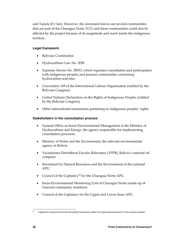and Taputa (0.1 km). However, the document leaves out several communities that are part of the Charagua Norte TCO, and these communities could also be affected by the project because of its magnitude and reach inside the indigenous territory.

## **Legal framework**

- Bolivian Constitution
- Hydrocarbons Law No. 3058
- Supreme Decree No. 29033, which regulates consultation and participation with indigenous peoples and peasant communities concerning hydrocarbon activities
- Convention 169 of the International Labour Organization (ratified by the Bolivian Congress)
- United Nations Declaration on the Rights of Indigenous Peoples (ratified by the Bolivian Congress)
- Other international instruments pertaining to indigenous peoples' rights

#### **Stakeholders in the consultation process**

- General Office on Socio-Environmental Management at the Ministry of Hydrocarbons and Energy, the agency responsible for implementing consultation processes
- Ministry of Water and the Environment, the relevant environmental agency in Bolivia
- Yacimientos Petrolíferos Fiscales Bolivianos (YPFB), Bolivia's national oil company
- Secretariat for Natural Resources and the Environment of the national APG
- Council of the Captaincy<sup>[35](#page-28-0)</sup> for the Charagua Norte APG
- Socio-Environmental Monitoring Unit of Charagua Norte (made up of Guaraní community monitors)
- Council of the Captaincy for the Upper and Lower Isoso APG

 $35$ Captaincies represent territorial and political jurisdictions within the organizational structure of the Guaraní peoples.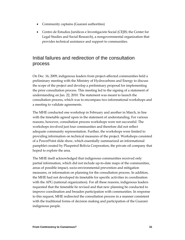- Community captains (Guaraní authorities)
- Centro de Estudios Jurídicos e Investigación Social (CEJIS; the Center for Legal Studies and Social Research), a nongovernmental organization that provides technical assistance and support to communities.

## Initial failures and redirection of the consultation process

On Dec. 16, 2009, indigenous leaders from project-affected communities held a preliminary meeting with the Ministry of Hydrocarbons and Energy to discuss the scope of the project and develop a preliminary proposal for implementing the prior consultation process. This meeting led to the signing of a statement of understanding on Jan. 22, 2010. The statement was meant to launch the consultation process, which was to encompass two informational workshops and a meeting to validate agreements.

The MHE conducted one workshop in February and another in March, in line with the timetable agreed upon in the statement of understanding. For various reasons, however, consultation process workshops were not successful. The workshops involved just four communities and therefore did not reflect adequate community representation. Further, the workshops were limited to providing information on technical measures of the project. Workshops consisted of a PowerPoint slide show, which essentially summarized an informational pamphlet created by Pluspetrol Bolivia Corporation, the private oil company that hoped to explore the area.

The MHE itself acknowledged that indigenous communities received only partial information, which did not include up-to-date maps of the communities, areas of possible impact, socio-environmental prevention and mitigation measures, or information on planning for the consultation process. In addition, the MHE had not developed its timetable for specific activities in coordination with the APG (national organization). For all these reasons, indigenous leaders requested that the timetable be revised and that new planning be conducted to improve coordination and broaden participation with communities. In response to this request, MHE redirected the consultation process in a manner consistent with the traditional forms of decision making and participation of the Guaraní indigenous people.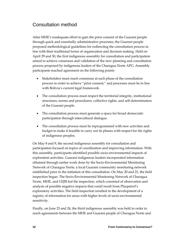## Consultation method

After MHE's inadequate effort to gain the prior consent of the Guaraní people through quick and essentially administrative processes, the Guaraní people proposed methodological guidelines for redirecting the consultation process in line with their traditional forms of organization and decision making. Held on April 29 and 30, the first indigenous assembly for consultation and participation aimed to achieve consensus and validation of the new planning and consultation process proposed by indigenous leaders of the Charagua Norte APG. Assembly participants reached agreement on the following points:

- Stakeholders must reach consensus at each phase of the consultation process in order to achieve "prior consent," and processes must be in line with Bolivia's current legal framework.
- The consultation process must respect the territorial integrity, institutional structures, norms and procedures, collective rights, and self-determination of the Guaraní people.
- The consultation process must generate a space for broad democratic participation through intercultural dialogue.
- The consultation process must be reprogrammed with new activities and budget to make it feasible to carry out its phases with respect for the rights of indigenous peoples.

On May 8 and 9, the second indigenous assembly for consultation and participation focused on topics of coordination and improving information. With this assembly, participants identified possible socio-environmental impacts of exploration activities. Guaraní indigenous leaders incorporated information obtained through earlier work done by the Socio-Environmental Monitoring Network of Charagua Norte, a local Guaraní community monitoring network established prior to the initiation of this consultation. On May 20 and 21, the field inspection began. The Socio-Environmental Monitoring Network of Charagua Norte, MHE, and CEJIS led the inspection, which consisted of observation and analysis of possible negative impacts that could result from Pluspetrol's exploratory activities. The field inspection resulted in the development of a registry of information for areas with higher levels of socio-environmental sensitivity.

Finally, on June 23 and 24, the third indigenous assembly was held in order to reach agreements between the MHE and Guaraní people of Charagua Norte and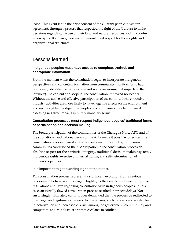Isoso. This event led to the prior consent of the Guaraní people in written agreement, through a process that respected the right of the Guaraní to make decisions regarding the use of their land and natural resources and in a context whereby the Bolivian government demonstrated respect for their rights and organizational structures.

## Lessons learned

#### **Indigenous peoples must have access to complete, truthful, and appropriate information.**

From the moment when the consultation began to incorporate indigenous perspectives and concrete information from community monitors (who had previously identified sensitive areas and socio-environmental impacts in their territory), the content and scope of the consultation improved noticeably. Without the active and effective participation of the communities, extractive industry activities are more likely to have negative effects on the environment and on the rights of indigenous peoples, and companies may tend toward assessing negative impacts in purely monetary terms.

#### **Consultation processes must respect indigenous peoples' traditional forms of participation and decision making.**

The broad participation of the communities of the Charagua Norte APG and of the subnational and national levels of the APG made it possible to redirect the consultation process toward a positive outcome. Importantly, indigenous communities conditioned their participation in the consultation process on absolute respect for the territorial integrity, traditional decision-making systems, indigenous rights, exercise of internal norms, and self-determination of indigenous peoples.

#### **It is important to get planning right at the outset.**

This consultation process represents a significant evolution from previous processes in Bolivia, and once again highlights the need to continue to improve regulations and laws regarding consultation with indigenous peoples. In this case, an initially flawed consultation process resulted in project delays. Not surprisingly, ultimately communities demanded that the process be redirected to their legal and legitimate channels. In many cases, such deficiencies can also lead to polarization and increased distrust among the government, communities, and companies, and this distrust at times escalates to conflict.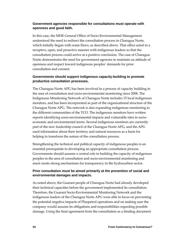## **Government agencies responsible for consultations must operate with openness and good faith.**

In this case, the MHE General Office of Socio-Environmental Management understood the need to redirect the consultation process in Charagua Norte, which initially began with some flaws, as described above. That office acted in a receptive, open, and proactive manner with indigenous leaders so that the consultation process could arrive at a positive conclusion. The case of Charagua Norte demonstrates the need for government agencies to maintain an attitude of openness and respect toward indigenous peoples' demands for prior consultation and consent.

## **Governments should support indigenous capacity-building to promote productive consultation processes.**

The Charagua Norte APG has been involved in a process of capacity building in the area of consultation and socio-environmental monitoring since 2008. The Indigenous Monitoring Network of Charagua Norte includes 15 local indigenous monitors, and has been incorporated as part of the organizational structure of the Charagua Norte APG. The network is also expanding indigenous monitoring to the different communities of the TCO. The indigenous monitors have written reports identifying socio-environmental impacts and vulnerable sites in socioeconomic and environmental terms. Several indigenous monitors are currently part of the new leadership council of the Charagua Norte APG, and the APG used information about their territory and natural resources as a basis for helping to transform the nature of the consultation process.

Strengthening the technical and political capacity of indigenous peoples is an essential prerequisite to developing an appropriate consultation process. Governments should assume a central role in building the capacity of indigenous peoples in the area of consultation and socio-environmental monitoring and must create strong mechanisms for transparency in the hydrocarbon sector.

## **Prior consultation must be aimed primarily at the prevention of social and environmental damages and impacts.**

As noted above, the Guaraní people of Charagua Norte had already developed their technical capacities before the government implemented its consultation. Therefore, the Guaraní Socio-Environmental Monitoring Network and the indigenous leaders of the Charagua Norte APG were able to focus on preventing the potential negative impacts of Pluspetrol operations and on making sure the company would assume its obligations and responsibilities regarding possible damage. Using the final agreement from the consultation as a binding document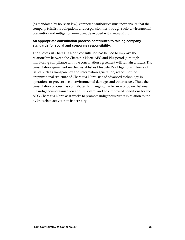(as mandated by Bolivian law), competent authorities must now ensure that the company fulfills its obligations and responsibilities through socio-environmental prevention and mitigation measures, developed with Guaraní input.

#### **An appropriate consultation process contributes to raising company standards for social and corporate responsibility.**

The successful Charagua Norte consultation has helped to improve the relationship between the Charagua Norte APG and Pluspetrol (although monitoring compliance with the consultation agreement will remain critical). The consultation agreement reached establishes Pluspetrol's obligations in terms of issues such as transparency and information generation, respect for the organizational structure of Charagua Norte, use of advanced technology in operations to prevent socio-environmental damage, and other issues. Thus, the consultation process has contributed to changing the balance of power between the indigenous organization and Pluspetrol and has improved conditions for the APG Charagua Norte as it works to promote indigenous rights in relation to the hydrocarbon activities in its territory.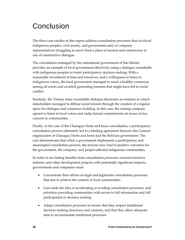## Conclusion

The three case studies in this report address consultation processes that involved indigenous peoples, civil society, and government and/or company representatives struggling to move from a place of tension and controversy to one of constructive dialogue.

The consultation managed by the subnational government of San Martin provides an example of local government effectively using a dialogue roundtable with indigenous peoples to foster participatory decision making. With a reasonable investment of time and resources, and a willingness to listen to indigenous voices, the local government managed to reach a healthy consensus among all actors and avoided generating tensions that might have led to social conflict.

Similarly, the Tintaya mine roundtable dialogue illustrates an instance in which stakeholders managed to diffuse social tension through the creation of a regular space for dialogue and consensus building. In this case, the mining company agreed to listen to local voices and make formal commitments on issues of key concern to communities.

Finally, in the case of the Charagua Norte and Isoso consultation, a participatory consultation process ultimately led to a binding agreement between the Guaraní organization of Charagua Norte and Isoso and the Bolivian government. The case demonstrates that when a government implements a participatory and meaningful consultation process, the process may lead to positive outcomes for the government, the company, and project-affected indigenous communities.

In order to see lasting benefits from consultation processes around extractive industry and other development projects with potentially significant impacts, governments and companies must:

- Concentrate their efforts on legal and legitimate consultation processes that aim to achieve the consent of local communities.
- Cast aside the idea of accelerating or evading consultation processes, and prioritize providing communities with access to full information and full participation in decision making.
- Adapt consultation processes to ensure that they respect traditional decision-making structures and customs, and that they allow adequate time to accommodate traditional processes.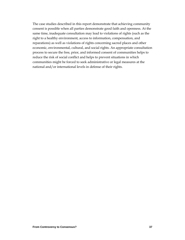The case studies described in this report demonstrate that achieving community consent is possible when all parties demonstrate good faith and openness. At the same time, inadequate consultation may lead to violations of rights (such as the right to a healthy environment, access to information, compensation, and reparations) as well as violations of rights concerning sacred places and other economic, environmental, cultural, and social rights. An appropriate consultation process to secure the free, prior, and informed consent of communities helps to reduce the risk of social conflict and helps to prevent situations in which communities might be forced to seek administrative or legal measures at the national and/or international levels in defense of their rights.